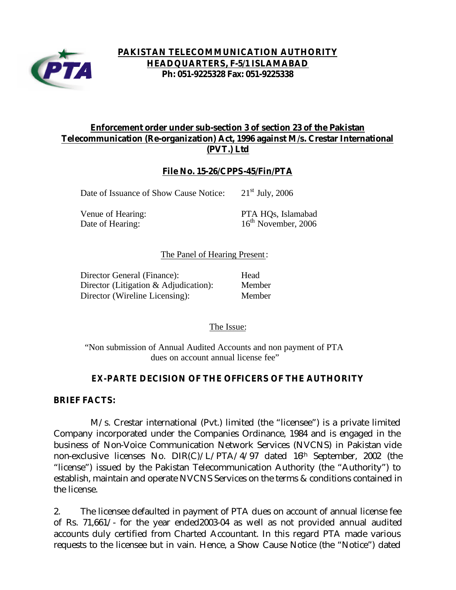

## **PAKISTAN TELECOMMUNICATION AUTHORITY HEADQUARTERS, F-5/1 ISLAMABAD Ph: 051-9225328 Fax: 051-9225338**

# **Enforcement order under sub-section 3 of section 23 of the Pakistan Telecommunication (Re-organization) Act, 1996 against M/s. Crestar International (PVT.) Ltd**

## **File No. 15-26/CPPS-45/Fin/PTA**

Date of Issuance of Show Cause Notice:  $21<sup>st</sup>$  July, 2006

Venue of Hearing: PTA HQs, Islamabad Date of Hearing: 16<sup>th</sup> November, 2006

### The Panel of Hearing Present:

| Director General (Finance):              | Head   |
|------------------------------------------|--------|
| Director (Litigation $\&$ Adjudication): | Member |
| Director (Wireline Licensing):           | Member |

The Issue:

"Non submission of Annual Audited Accounts and non payment of PTA dues on account annual license fee"

## *EX-PARTE* **DECISION OF THE OFFICERS OF THE AUTHORITY**

#### **BRIEF FACTS:**

 M/s. Crestar international (Pvt.) limited (the "licensee") is a private limited Company incorporated under the Companies Ordinance, 1984 and is engaged in the business of Non-Voice Communication Network Services (NVCNS) in Pakistan vide non-exclusive licenses No. DIR(C)/L/PTA/4/97 dated 16th September, 2002 (the "license") issued by the Pakistan Telecommunication Authority (the "Authority") to establish, maintain and operate NVCNS Services on the terms & conditions contained in the license.

2. The licensee defaulted in payment of PTA dues on account of annual license fee of Rs. 71,661/- for the year ended2003-04 as well as not provided annual audited accounts duly certified from Charted Accountant. In this regard PTA made various requests to the licensee but in vain. Hence, a Show Cause Notice (the "Notice") dated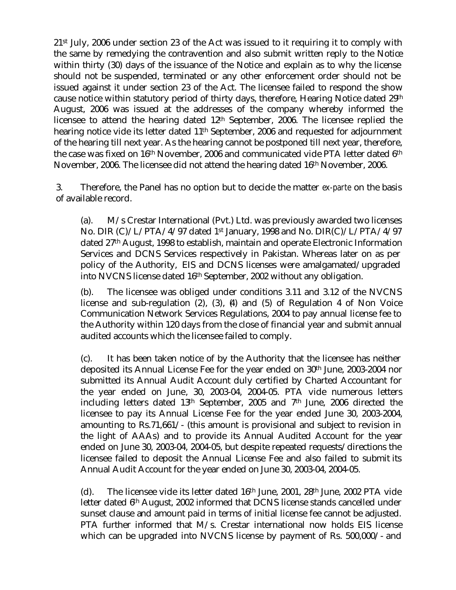21st July, 2006 under section 23 of the Act was issued to it requiring it to comply with the same by remedying the contravention and also submit written reply to the Notice within thirty (30) days of the issuance of the Notice and explain as to why the license should not be suspended, terminated or any other enforcement order should not be issued against it under section 23 of the Act. The licensee failed to respond the show cause notice within statutory period of thirty days, therefore, Hearing Notice dated 29th August, 2006 was issued at the addresses of the company whereby informed the licensee to attend the hearing dated 12th September, 2006. The licensee replied the hearing notice vide its letter dated 11<sup>th</sup> September, 2006 and requested for adjournment of the hearing till next year. As the hearing cannot be postponed till next year, therefore, the case was fixed on 16th November, 2006 and communicated vide PTA letter dated 6th November, 2006. The licensee did not attend the hearing dated 16th November, 2006.

3. Therefore, the Panel has no option but to decide the matter *ex-parte* on the basis of available record.

(a). M/s Crestar International (Pvt.) Ltd. was previously awarded two licenses No. DIR (C)/L/PTA/4/97 dated 1st January, 1998 and No. DIR(C)/L/PTA/4/97 dated 27th August, 1998 to establish, maintain and operate Electronic Information Services and DCNS Services respectively in Pakistan. Whereas later on as per policy of the Authority, EIS and DCNS licenses were amalgamated/upgraded into NVCNS license dated 16th September, 2002 without any obligation.

(b). The licensee was obliged under conditions 3.11 and 3.12 of the NVCNS license and sub-regulation (2), (3), (4) and (5) of Regulation 4 of Non Voice Communication Network Services Regulations, 2004 to pay annual license fee to the Authority within 120 days from the close of financial year and submit annual audited accounts which the licensee failed to comply.

(c). It has been taken notice of by the Authority that the licensee has neither deposited its Annual License Fee for the year ended on 30th June, 2003-2004 nor submitted its Annual Audit Account duly certified by Charted Accountant for the year ended on June, 30, 2003-04, 2004-05. PTA vide numerous letters including letters dated 13th September, 2005 and 7th June, 2006 directed the licensee to pay its Annual License Fee for the year ended June 30, 2003-2004, amounting to Rs.71,661/- (this amount is provisional and subject to revision in the light of AAAs) and to provide its Annual Audited Account for the year ended on June 30, 2003-04, 2004-05, but despite repeated requests/directions the licensee failed to deposit the Annual License Fee and also failed to submit its Annual Audit Account for the year ended on June 30, 2003-04, 2004-05.

(d). The licensee vide its letter dated 16th June, 2001, 28th June, 2002 PTA vide letter dated 6th August, 2002 informed that DCNS license stands cancelled under sunset clause and amount paid in terms of initial license fee cannot be adjusted. PTA further informed that M/s. Crestar international now holds EIS license which can be upgraded into NVCNS license by payment of Rs. 500,000/- and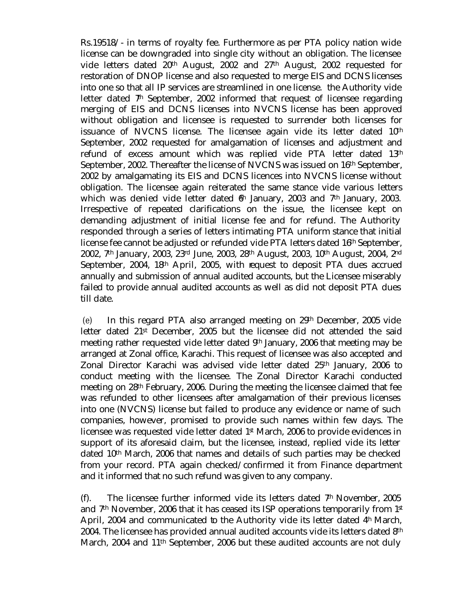Rs.19518/- in terms of royalty fee. Furthermore as per PTA policy nation wide license can be downgraded into single city without an obligation. The licensee vide letters dated 20th August, 2002 and 27th August, 2002 requested for restoration of DNOP license and also requested to merge EIS and DCNS licenses into one so that all IP services are streamlined in one license. the Authority vide letter dated  $7<sup>h</sup>$  September, 2002 informed that request of licensee regarding merging of EIS and DCNS licenses into NVCNS license has been approved without obligation and licensee is requested to surrender both licenses for issuance of NVCNS license. The licensee again vide its letter dated 10<sup>th</sup> September, 2002 requested for amalgamation of licenses and adjustment and refund of excess amount which was replied vide PTA letter dated 13th September, 2002. Thereafter the license of NVCNS was issued on 16th September, 2002 by amalgamating its EIS and DCNS licences into NVCNS license without obligation. The licensee again reiterated the same stance vide various letters which was denied vide letter dated  $6<sup>h</sup>$  January, 2003 and 7<sup>th</sup> January, 2003. Irrespective of repeated clarifications on the issue, the licensee kept on demanding adjustment of initial license fee and for refund. The Authority responded through a series of letters intimating PTA uniform stance that initial license fee cannot be adjusted or refunded vide PTA letters dated 16th September, 2002, 7th January, 2003, 23rd June, 2003, 28th August, 2003, 10th August, 2004, 2nd September, 2004, 18<sup>th</sup> April, 2005, with request to deposit PTA dues accrued annually and submission of annual audited accounts, but the Licensee miserably failed to provide annual audited accounts as well as did not deposit PTA dues till date.

(e) In this regard PTA also arranged meeting on 29th December, 2005 vide letter dated 21st December, 2005 but the licensee did not attended the said meeting rather requested vide letter dated 9th January, 2006 that meeting may be arranged at Zonal office, Karachi. This request of licensee was also accepted and Zonal Director Karachi was advised vide letter dated 25<sup>th</sup> January, 2006 to conduct meeting with the licensee. The Zonal Director Karachi conducted meeting on 28th February, 2006. During the meeting the licensee claimed that fee was refunded to other licensees after amalgamation of their previous licenses into one (NVCNS) license but failed to produce any evidence or name of such companies, however, promised to provide such names within few days. The licensee was requested vide letter dated 1st March, 2006 to provide evidences in support of its aforesaid claim, but the licensee, instead, replied vide its letter dated 10th March, 2006 that names and details of such parties may be checked from your record. PTA again checked/confirmed it from Finance department and it informed that no such refund was given to any company.

(f). The licensee further informed vide its letters dated  $7<sup>th</sup>$  November, 2005 and 7<sup>th</sup> November, 2006 that it has ceased its ISP operations temporarily from 1<sup>st</sup> April, 2004 and communicated to the Authority vide its letter dated  $4<sup>h</sup>$  March, 2004. The licensee has provided annual audited accounts vide its letters dated 8<sup>th</sup> March, 2004 and 11<sup>th</sup> September, 2006 but these audited accounts are not duly